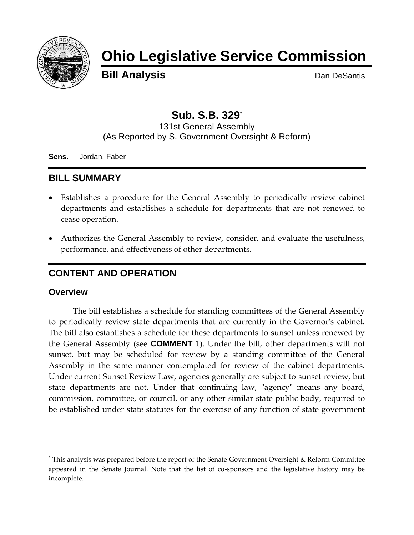

# **Ohio Legislative Service Commission**

**Bill Analysis** Dan DeSantis

# **Sub. S.B. 329\***

131st General Assembly (As Reported by S. Government Oversight & Reform)

**Sens.** Jordan, Faber

# **BILL SUMMARY**

- Establishes a procedure for the General Assembly to periodically review cabinet departments and establishes a schedule for departments that are not renewed to cease operation.
- Authorizes the General Assembly to review, consider, and evaluate the usefulness, performance, and effectiveness of other departments.

# **CONTENT AND OPERATION**

#### **Overview**

 $\overline{a}$ 

The bill establishes a schedule for standing committees of the General Assembly to periodically review state departments that are currently in the Governor's cabinet. The bill also establishes a schedule for these departments to sunset unless renewed by the General Assembly (see **COMMENT** 1). Under the bill, other departments will not sunset, but may be scheduled for review by a standing committee of the General Assembly in the same manner contemplated for review of the cabinet departments. Under current Sunset Review Law, agencies generally are subject to sunset review, but state departments are not. Under that continuing law, "agency" means any board, commission, committee, or council, or any other similar state public body, required to be established under state statutes for the exercise of any function of state government

<sup>\*</sup> This analysis was prepared before the report of the Senate Government Oversight & Reform Committee appeared in the Senate Journal. Note that the list of co-sponsors and the legislative history may be incomplete.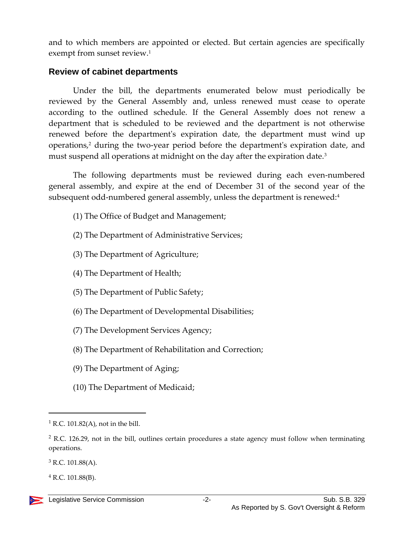and to which members are appointed or elected. But certain agencies are specifically exempt from sunset review. 1

#### **Review of cabinet departments**

Under the bill, the departments enumerated below must periodically be reviewed by the General Assembly and, unless renewed must cease to operate according to the outlined schedule. If the General Assembly does not renew a department that is scheduled to be reviewed and the department is not otherwise renewed before the department's expiration date, the department must wind up operations, <sup>2</sup> during the two-year period before the department's expiration date, and must suspend all operations at midnight on the day after the expiration date.<sup>3</sup>

The following departments must be reviewed during each even-numbered general assembly, and expire at the end of December 31 of the second year of the subsequent odd-numbered general assembly, unless the department is renewed:<sup>4</sup>

- (1) The Office of Budget and Management;
- (2) The Department of Administrative Services;
- (3) The Department of Agriculture;
- (4) The Department of Health;
- (5) The Department of Public Safety;
- (6) The Department of Developmental Disabilities;
- (7) The Development Services Agency;
- (8) The Department of Rehabilitation and Correction;
- (9) The Department of Aging;
- (10) The Department of Medicaid;

 $^{4}$  R.C. 101.88(B).



 $1$  R.C. 101.82(A), not in the bill.

 $2$  R.C. 126.29, not in the bill, outlines certain procedures a state agency must follow when terminating operations.

 $3$  R.C. 101.88(A).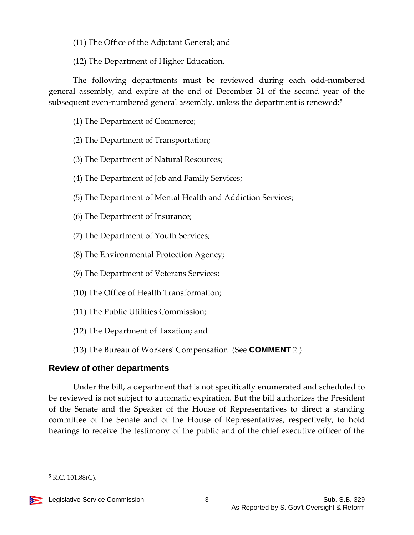- (11) The Office of the Adjutant General; and
- (12) The Department of Higher Education.

The following departments must be reviewed during each odd-numbered general assembly, and expire at the end of December 31 of the second year of the subsequent even-numbered general assembly, unless the department is renewed:<sup>5</sup>

- (1) The Department of Commerce;
- (2) The Department of Transportation;
- (3) The Department of Natural Resources;
- (4) The Department of Job and Family Services;
- (5) The Department of Mental Health and Addiction Services;
- (6) The Department of Insurance;
- (7) The Department of Youth Services;
- (8) The Environmental Protection Agency;
- (9) The Department of Veterans Services;
- (10) The Office of Health Transformation;
- (11) The Public Utilities Commission;
- (12) The Department of Taxation; and
- (13) The Bureau of Workers' Compensation. (See **COMMENT** 2.)

# **Review of other departments**

Under the bill, a department that is not specifically enumerated and scheduled to be reviewed is not subject to automatic expiration. But the bill authorizes the President of the Senate and the Speaker of the House of Representatives to direct a standing committee of the Senate and of the House of Representatives, respectively, to hold hearings to receive the testimony of the public and of the chief executive officer of the

 $5$  R.C. 101.88(C).

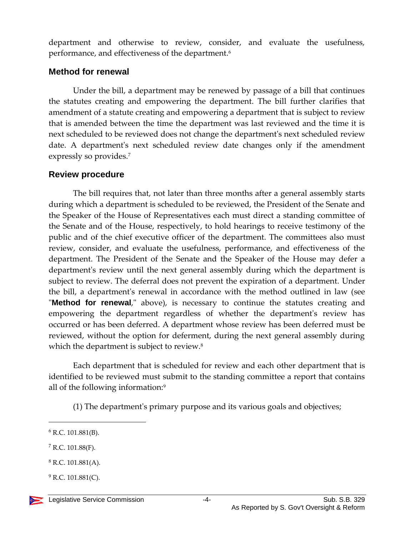department and otherwise to review, consider, and evaluate the usefulness, performance, and effectiveness of the department.<sup>6</sup>

#### **Method for renewal**

Under the bill, a department may be renewed by passage of a bill that continues the statutes creating and empowering the department. The bill further clarifies that amendment of a statute creating and empowering a department that is subject to review that is amended between the time the department was last reviewed and the time it is next scheduled to be reviewed does not change the department's next scheduled review date. A department's next scheduled review date changes only if the amendment expressly so provides.<sup>7</sup>

#### **Review procedure**

The bill requires that, not later than three months after a general assembly starts during which a department is scheduled to be reviewed, the President of the Senate and the Speaker of the House of Representatives each must direct a standing committee of the Senate and of the House, respectively, to hold hearings to receive testimony of the public and of the chief executive officer of the department. The committees also must review, consider, and evaluate the usefulness, performance, and effectiveness of the department. The President of the Senate and the Speaker of the House may defer a department's review until the next general assembly during which the department is subject to review. The deferral does not prevent the expiration of a department. Under the bill, a department's renewal in accordance with the method outlined in law (see "Method for renewal," above), is necessary to continue the statutes creating and empowering the department regardless of whether the department's review has occurred or has been deferred. A department whose review has been deferred must be reviewed, without the option for deferment, during the next general assembly during which the department is subject to review.<sup>8</sup>

Each department that is scheduled for review and each other department that is identified to be reviewed must submit to the standing committee a report that contains all of the following information:<sup>9</sup>

(1) The department's primary purpose and its various goals and objectives;

 $7$  R.C. 101.88(F).

 $^{9}$  R.C. 101.881(C).

 $6$  R.C. 101.881(B).

 $8$  R.C. 101.881(A).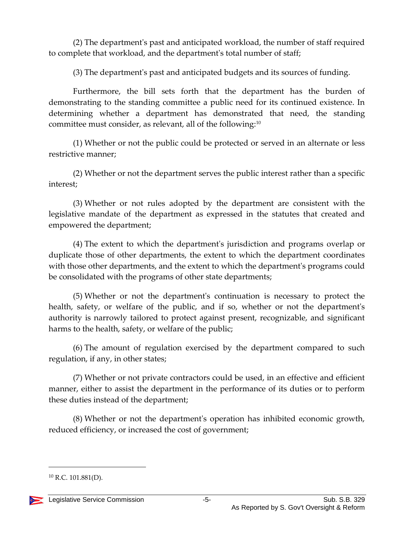(2) The department's past and anticipated workload, the number of staff required to complete that workload, and the department's total number of staff;

(3) The department's past and anticipated budgets and its sources of funding.

Furthermore, the bill sets forth that the department has the burden of demonstrating to the standing committee a public need for its continued existence. In determining whether a department has demonstrated that need, the standing committee must consider, as relevant, all of the following:<sup>10</sup>

(1) Whether or not the public could be protected or served in an alternate or less restrictive manner;

(2) Whether or not the department serves the public interest rather than a specific interest;

(3) Whether or not rules adopted by the department are consistent with the legislative mandate of the department as expressed in the statutes that created and empowered the department;

(4) The extent to which the department's jurisdiction and programs overlap or duplicate those of other departments, the extent to which the department coordinates with those other departments, and the extent to which the department's programs could be consolidated with the programs of other state departments;

(5) Whether or not the department's continuation is necessary to protect the health, safety, or welfare of the public, and if so, whether or not the department's authority is narrowly tailored to protect against present, recognizable, and significant harms to the health, safety, or welfare of the public;

(6) The amount of regulation exercised by the department compared to such regulation, if any, in other states;

(7) Whether or not private contractors could be used, in an effective and efficient manner, either to assist the department in the performance of its duties or to perform these duties instead of the department;

(8) Whether or not the department's operation has inhibited economic growth, reduced efficiency, or increased the cost of government;

 $10$  R.C. 101.881(D).

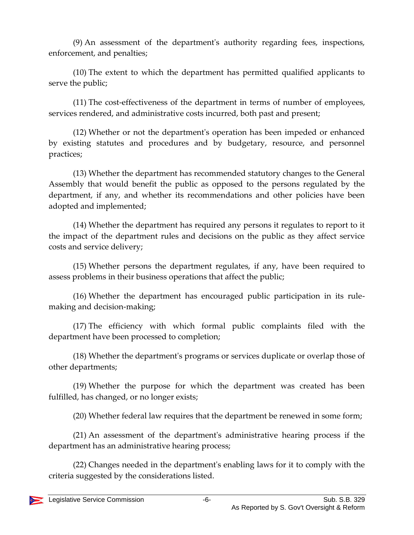(9) An assessment of the department's authority regarding fees, inspections, enforcement, and penalties;

(10) The extent to which the department has permitted qualified applicants to serve the public;

(11) The cost-effectiveness of the department in terms of number of employees, services rendered, and administrative costs incurred, both past and present;

(12) Whether or not the department's operation has been impeded or enhanced by existing statutes and procedures and by budgetary, resource, and personnel practices;

(13) Whether the department has recommended statutory changes to the General Assembly that would benefit the public as opposed to the persons regulated by the department, if any, and whether its recommendations and other policies have been adopted and implemented;

(14) Whether the department has required any persons it regulates to report to it the impact of the department rules and decisions on the public as they affect service costs and service delivery;

(15) Whether persons the department regulates, if any, have been required to assess problems in their business operations that affect the public;

(16) Whether the department has encouraged public participation in its rulemaking and decision-making;

(17) The efficiency with which formal public complaints filed with the department have been processed to completion;

(18) Whether the department's programs or services duplicate or overlap those of other departments;

(19) Whether the purpose for which the department was created has been fulfilled, has changed, or no longer exists;

(20) Whether federal law requires that the department be renewed in some form;

(21) An assessment of the department's administrative hearing process if the department has an administrative hearing process;

(22) Changes needed in the department's enabling laws for it to comply with the criteria suggested by the considerations listed.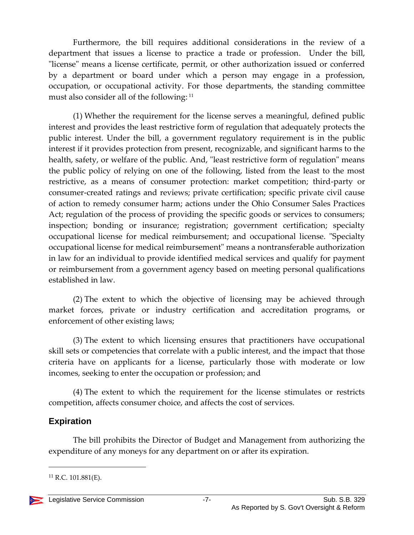Furthermore, the bill requires additional considerations in the review of a department that issues a license to practice a trade or profession. Under the bill, "license" means a license certificate, permit, or other authorization issued or conferred by a department or board under which a person may engage in a profession, occupation, or occupational activity. For those departments, the standing committee must also consider all of the following: <sup>11</sup>

(1) Whether the requirement for the license serves a meaningful, defined public interest and provides the least restrictive form of regulation that adequately protects the public interest. Under the bill, a government regulatory requirement is in the public interest if it provides protection from present, recognizable, and significant harms to the health, safety, or welfare of the public. And, "least restrictive form of regulation" means the public policy of relying on one of the following, listed from the least to the most restrictive, as a means of consumer protection: market competition; third-party or consumer-created ratings and reviews; private certification; specific private civil cause of action to remedy consumer harm; actions under the Ohio Consumer Sales Practices Act; regulation of the process of providing the specific goods or services to consumers; inspection; bonding or insurance; registration; government certification; specialty occupational license for medical reimbursement; and occupational license. "Specialty occupational license for medical reimbursement" means a nontransferable authorization in law for an individual to provide identified medical services and qualify for payment or reimbursement from a government agency based on meeting personal qualifications established in law.

(2) The extent to which the objective of licensing may be achieved through market forces, private or industry certification and accreditation programs, or enforcement of other existing laws;

(3) The extent to which licensing ensures that practitioners have occupational skill sets or competencies that correlate with a public interest, and the impact that those criteria have on applicants for a license, particularly those with moderate or low incomes, seeking to enter the occupation or profession; and

(4) The extent to which the requirement for the license stimulates or restricts competition, affects consumer choice, and affects the cost of services.

## **Expiration**

The bill prohibits the Director of Budget and Management from authorizing the expenditure of any moneys for any department on or after its expiration.

 $^{11}$  R.C. 101.881(E).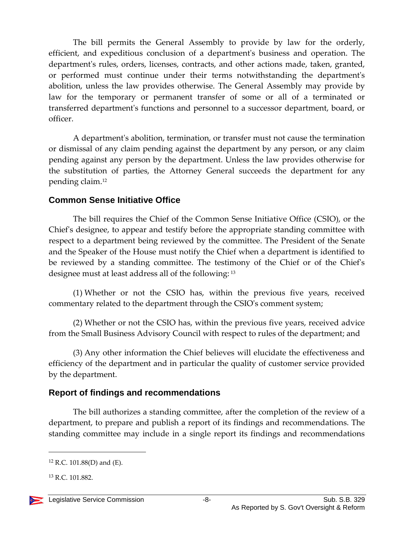The bill permits the General Assembly to provide by law for the orderly, efficient, and expeditious conclusion of a department's business and operation. The department's rules, orders, licenses, contracts, and other actions made, taken, granted, or performed must continue under their terms notwithstanding the department's abolition, unless the law provides otherwise. The General Assembly may provide by law for the temporary or permanent transfer of some or all of a terminated or transferred department's functions and personnel to a successor department, board, or officer.

A department's abolition, termination, or transfer must not cause the termination or dismissal of any claim pending against the department by any person, or any claim pending against any person by the department. Unless the law provides otherwise for the substitution of parties, the Attorney General succeeds the department for any pending claim.<sup>12</sup>

## **Common Sense Initiative Office**

The bill requires the Chief of the Common Sense Initiative Office (CSIO), or the Chief's designee, to appear and testify before the appropriate standing committee with respect to a department being reviewed by the committee. The President of the Senate and the Speaker of the House must notify the Chief when a department is identified to be reviewed by a standing committee. The testimony of the Chief or of the Chief's designee must at least address all of the following: <sup>13</sup>

(1) Whether or not the CSIO has, within the previous five years, received commentary related to the department through the CSIO's comment system;

(2) Whether or not the CSIO has, within the previous five years, received advice from the Small Business Advisory Council with respect to rules of the department; and

(3) Any other information the Chief believes will elucidate the effectiveness and efficiency of the department and in particular the quality of customer service provided by the department.

## **Report of findings and recommendations**

The bill authorizes a standing committee, after the completion of the review of a department, to prepare and publish a report of its findings and recommendations. The standing committee may include in a single report its findings and recommendations

 $12$  R.C. 101.88(D) and (E).

<sup>13</sup> R.C. 101.882.